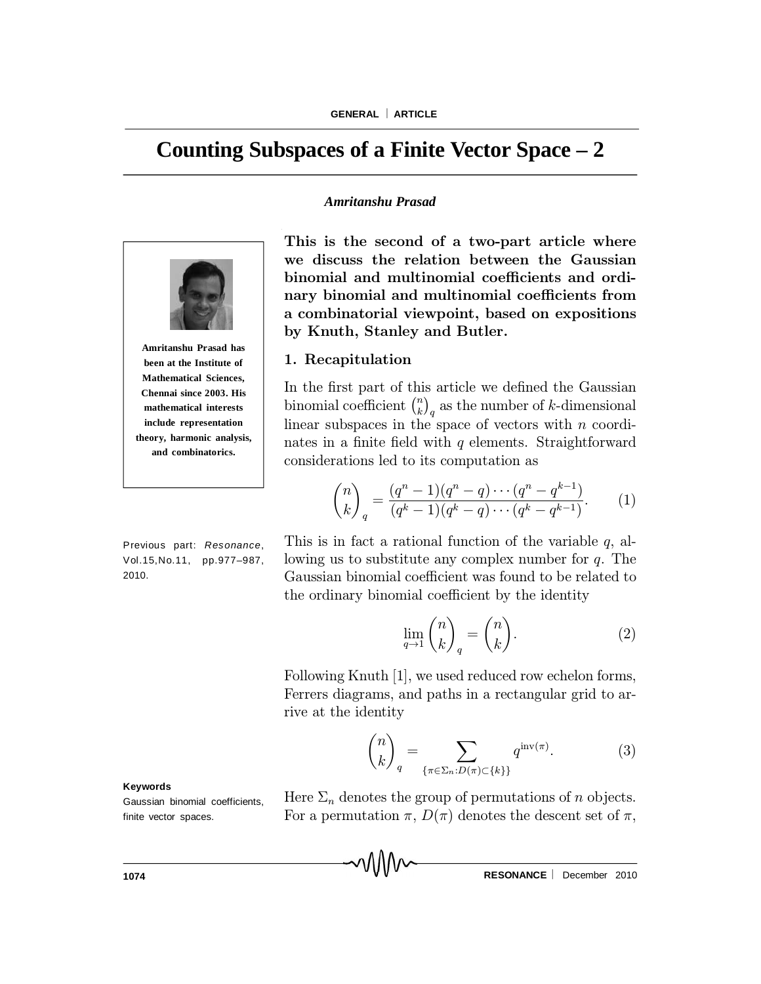# **Counting Subspaces of a Finite Vector Space – 2**

#### *Amritanshu Prasad*



**Amritanshu Prasad has been at the Institute of Mathematical Sciences, Chennai since 2003. His mathematical interests include representation theory, harmonic analysis, and combinatorics.**

Previous part: *Resonance*, Vol.15,No.11, pp.977–987, 2010.

This is the second of a two-part article where we discuss the relation between the Gaussian binomial and multinomial coefficients and ordinary binomial and multinomial coefficients from a combinatorial viewpoint, based on expositions by Knuth, Stanley and Butler.

## 1. Recapitulation

In the first part of this article we defined the Gaussian binomial coefficient  $\binom{n}{k}$  $\binom{n}{k}_q$  as the number of  $k$ -dimensional linear subspaces in the space of vectors with  $n$  coordinates in a finite field with q elements. Straightforward considerations led to its computation as

$$
\binom{n}{k}_q = \frac{(q^n - 1)(q^n - q) \cdots (q^n - q^{k-1})}{(q^k - 1)(q^k - q) \cdots (q^k - q^{k-1})}.
$$
 (1)

This is in fact a rational function of the variable  $q$ , allowing us to substitute any complex number for q. The Gaussian binomial coefficient was found to be related to the ordinary binomial coefficient by the identity

$$
\lim_{q \to 1} \binom{n}{k}_q = \binom{n}{k}.\tag{2}
$$

Following Knuth [1], we used reduced row echelon forms, Ferrers diagrams, and paths in a rectangular grid to arrive at the identity

$$
\binom{n}{k}_q = \sum_{\{\pi \in \Sigma_n : D(\pi) \subset \{k\}\}} q^{\operatorname{inv}(\pi)}.
$$
 (3)

**Keywords**

Gaussian binomial coefficients, finite vector spaces.

Here  $\Sigma_n$  denotes the group of permutations of n objects. For a permutation  $\pi$ ,  $D(\pi)$  denotes the descent set of  $\pi$ ,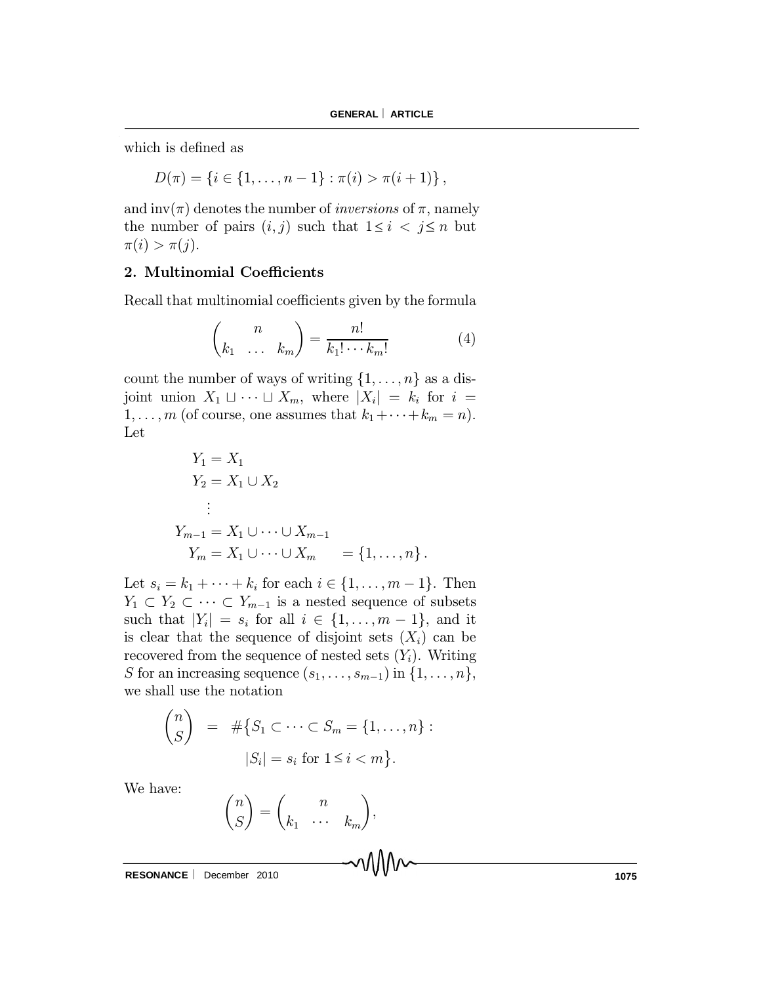which is defined as

$$
D(\pi) = \{i \in \{1, \ldots, n-1\} : \pi(i) > \pi(i+1)\},\
$$

and inv( $\pi$ ) denotes the number of *inversions* of  $\pi$ , namely the number of pairs  $(i, j)$  such that  $1 \leq i < j \leq n$  but  $\pi(i) > \pi(j).$ 

## 2. Multinomial Coefficients

Recall that multinomial coefficients given by the formula

$$
\binom{n}{k_1 \quad \dots \quad k_m} = \frac{n!}{k_1! \cdots k_m!} \tag{4}
$$

count the number of ways of writing  $\{1, \ldots, n\}$  as a disjoint union  $X_1 \sqcup \cdots \sqcup X_m$ , where  $|X_i| = k_i$  for  $i =$  $1, \ldots, m$  (of course, one assumes that  $k_1 + \cdots + k_m = n$ ). Let

$$
Y_1 = X_1
$$
  
\n
$$
Y_2 = X_1 \cup X_2
$$
  
\n
$$
\vdots
$$
  
\n
$$
Y_{m-1} = X_1 \cup \dots \cup X_{m-1}
$$
  
\n
$$
Y_m = X_1 \cup \dots \cup X_m = \{1, \dots, n\}.
$$

Let  $s_i = k_1 + \cdots + k_i$  for each  $i \in \{1, ..., m-1\}$ . Then  $Y_1 \subset Y_2 \subset \cdots \subset Y_{m-1}$  is a nested sequence of subsets such that  $|Y_i| = s_i$  for all  $i \in \{1, \ldots, m-1\}$ , and it is clear that the sequence of disjoint sets  $(X_i)$  can be recovered from the sequence of nested sets  $(Y_i)$ . Writing S for an increasing sequence  $(s_1, \ldots, s_{m-1})$  in  $\{1, \ldots, n\},$ we shall use the notation

$$
\binom{n}{S} = #\{S_1 \subset \cdots \subset S_m = \{1, \ldots, n\} :
$$
  

$$
|S_i| = s_i \text{ for } 1 \le i < m\}.
$$

We have:

$$
\binom{n}{S} = \binom{n}{k_1 \quad \cdots \quad k_m}
$$

;

**RESONANCE** December 2010 **1075**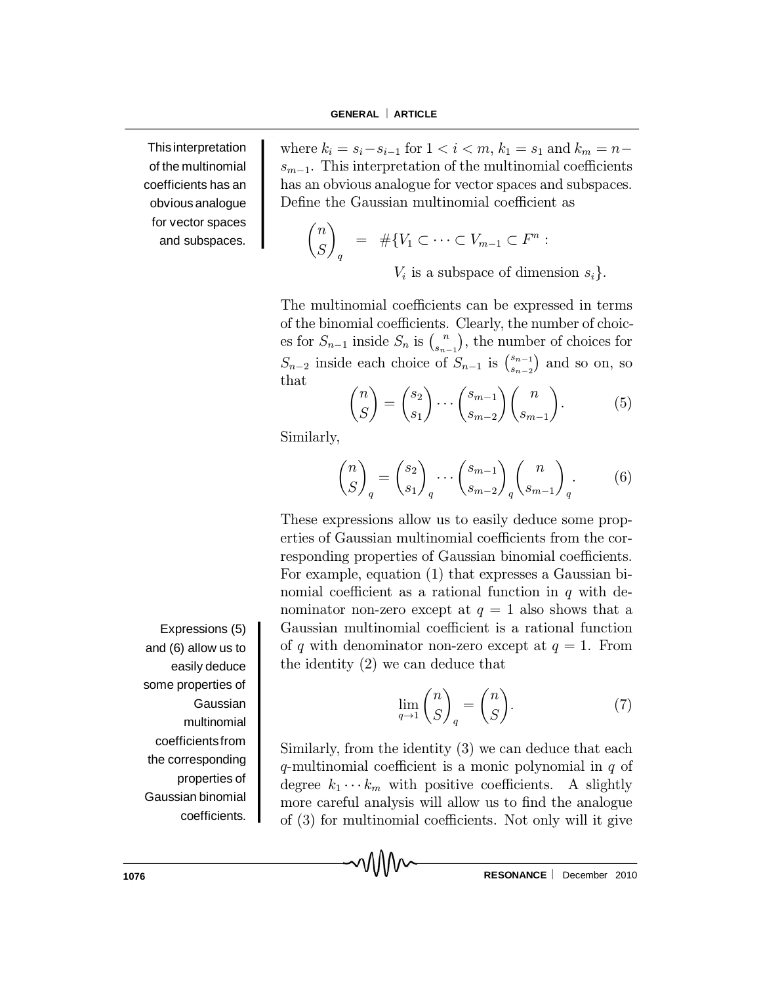This interpretation of the multinomial coefficients has an obvious analogue for vector spaces and subspaces. where  $k_i = s_i - s_{i-1}$  for  $1 < i < m$ ,  $k_1 = s_1$  and  $k_m = n$  $s_{m-1}$ . This interpretation of the multinomial coefficients has an obvious analogue for vector spaces and subspaces. Define the Gaussian multinomial coefficient as

$$
\binom{n}{S}_q = #\{V_1 \subset \cdots \subset V_{m-1} \subset F^n :
$$
  
 
$$
\vdots
$$
 is a subspace of dimens

 $V_i$  is a subspace of dimension  $s_i$ .

The multinomial coefficients can be expressed in terms of the binomial coefficients. Clearly, the number of choices for  $S_{n-1}$  inside  $S_n$  is  $\binom{n}{s_n}$ .  $s_{n-1}$ ¢ , the number of choices for  $S_{n-2}$  inside each choice of  $S_{n-1}$  is  $\binom{s_{n-1}}{s_{n-2}}$  $s_{n-2}$ ) and so on, so that

$$
\binom{n}{S} = \binom{s_2}{s_1} \cdots \binom{s_{m-1}}{s_{m-2}} \binom{n}{s_{m-1}}.
$$
 (5)

Similarly,

$$
\binom{n}{S}_q = \binom{s_2}{s_1}_q \cdots \binom{s_{m-1}}{s_{m-2}}_q \binom{n}{s_{m-1}}_q.
$$
 (6)

These expressions allow us to easily deduce some properties of Gaussian multinomial coefficients from the corresponding properties of Gaussian binomial coefficients. For example, equation (1) that expresses a Gaussian binomial coefficient as a rational function in  $q$  with denominator non-zero except at  $q = 1$  also shows that a Gaussian multinomial coefficient is a rational function of q with denominator non-zero except at  $q = 1$ . From the identity (2) we can deduce that

$$
\lim_{q \to 1} \binom{n}{S}_q = \binom{n}{S}.\tag{7}
$$

Similarly, from the identity (3) we can deduce that each q-multinomial coefficient is a monic polynomial in  $q$  of degree  $k_1 \cdots k_m$  with positive coefficients. A slightly more careful analysis will allow us to find the analogue of  $(3)$  for multinomial coefficients. Not only will it give

៶៱៱៱៷

Expressions (5) and (6) allow us to easily deduce some properties of **Gaussian** multinomial coefficientsfrom the corresponding properties of Gaussian binomial coefficients.

**1076 RESONANCE**  $\vee$  **V V RESONANCE December 2010**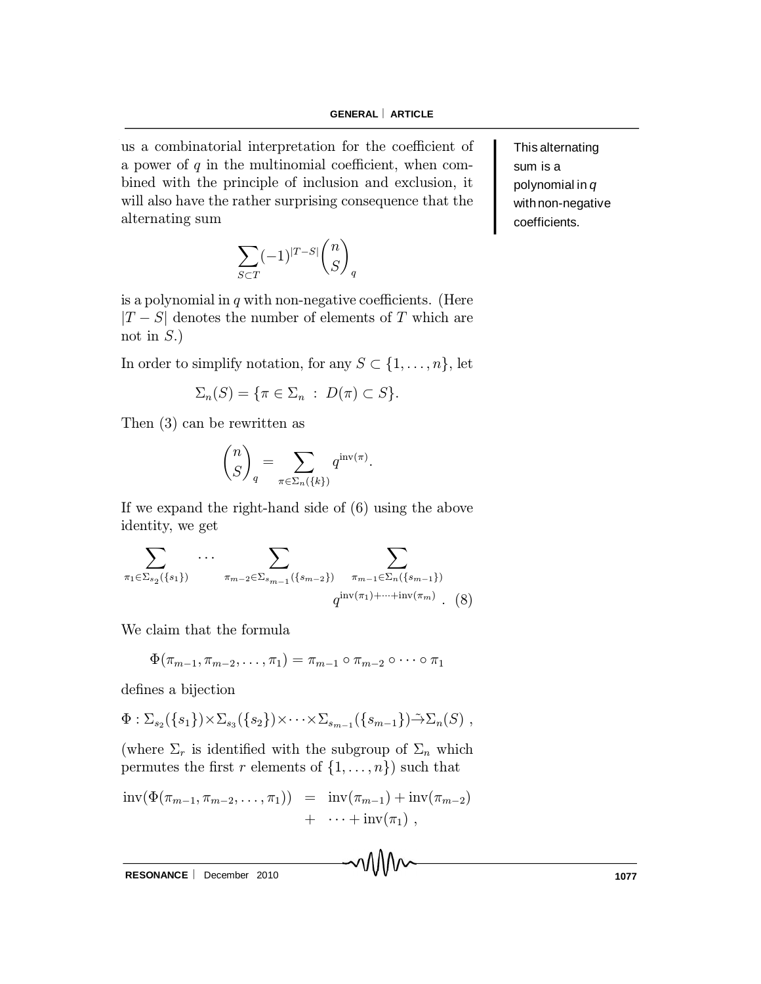us a combinatorial interpretation for the coefficient of a power of  $q$  in the multinomial coefficient, when combined with the principle of inclusion and exclusion, it will also have the rather surprising consequence that the alternating sum

> $\overline{\phantom{0}}$  $S\subset T$  $(-1)^{|T-S|}\binom{n}{S}$ S  $\overline{ }$ q

is a polynomial in  $q$  with non-negative coefficients. (Here  $|T - S|$  denotes the number of elements of T which are not in  $S$ .)

In order to simplify notation, for any  $S \subset \{1, \ldots, n\}$ , let

$$
\Sigma_n(S) = \{ \pi \in \Sigma_n : D(\pi) \subset S \}.
$$

Then (3) can be rewritten as

$$
\binom{n}{S}_q = \sum_{\pi \in \Sigma_n(\{k\})} q^{\mathrm{inv}(\pi)}.
$$

If we expand the right-hand side of (6) using the above identity, we get

$$
\sum_{\pi_1 \in \Sigma_{s_2}(\{s_1\})} \cdots \sum_{\pi_{m-2} \in \Sigma_{s_{m-1}}(\{s_{m-2}\})} \sum_{\pi_{m-1} \in \Sigma_n(\{s_{m-1}\})} \qquad \qquad q^{\text{inv}(\pi_1) + \cdots + \text{inv}(\pi_m)} .
$$
 (8)

We claim that the formula

$$
\Phi(\pi_{m-1}, \pi_{m-2}, \ldots, \pi_1) = \pi_{m-1} \circ \pi_{m-2} \circ \cdots \circ \pi_1
$$

defines a bijection

$$
\Phi: \Sigma_{s_2}(\{s_1\})\times \Sigma_{s_3}(\{s_2\})\times \cdots \times \Sigma_{s_{m-1}}(\{s_{m-1}\})\tilde{\rightarrow} \Sigma_n(S) ,
$$

(where  $\Sigma_r$  is identified with the subgroup of  $\Sigma_n$  which permutes the first r elements of  $\{1, \ldots, n\}$  such that

$$
\mathrm{inv}(\Phi(\pi_{m-1}, \pi_{m-2}, \dots, \pi_1)) = \mathrm{inv}(\pi_{m-1}) + \mathrm{inv}(\pi_{m-2}) + \cdots + \mathrm{inv}(\pi_1),
$$

RESONANCE | December 2010 **1077** 

This alternating sum is a polynomial in *q* with non-negative coefficients.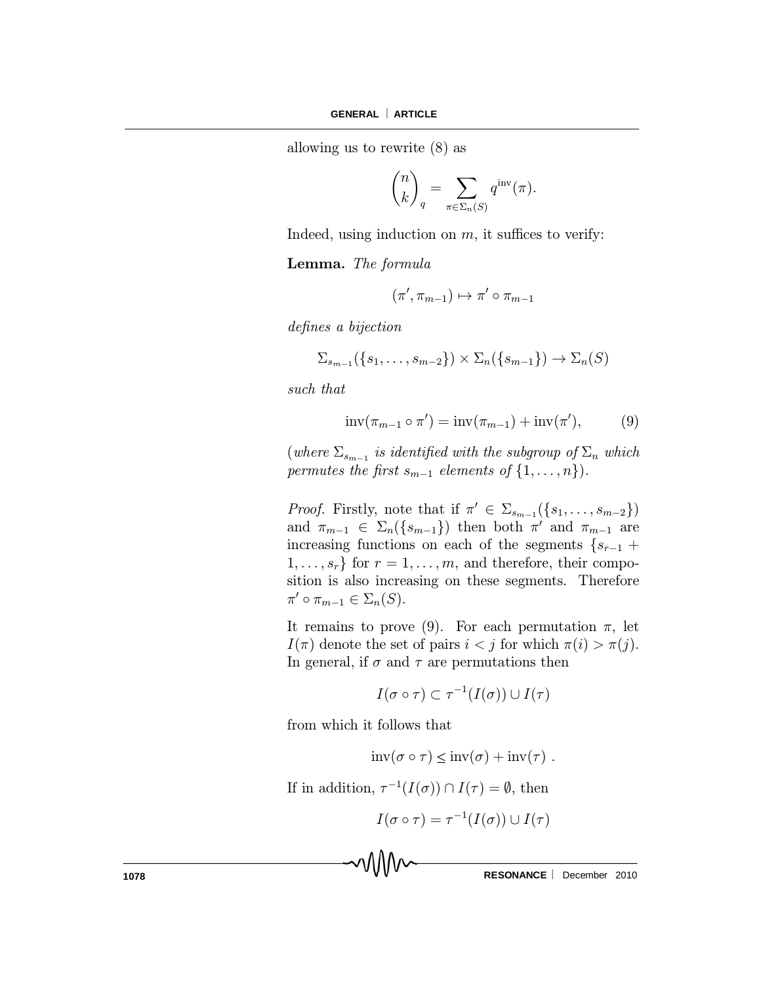allowing us to rewrite (8) as

$$
\binom{n}{k}_q = \sum_{\pi \in \Sigma_n(S)} q^{\mathrm{inv}}(\pi).
$$

Indeed, using induction on  $m$ , it suffices to verify:

Lemma. The formula

$$
(\pi', \pi_{m-1}) \mapsto \pi' \circ \pi_{m-1}
$$

defines a bijection

$$
\Sigma_{s_{m-1}}(\{s_1,\ldots,s_{m-2}\})\times \Sigma_n(\{s_{m-1}\})\to \Sigma_n(S)
$$

such that

$$
inv(\pi_{m-1} \circ \pi') = inv(\pi_{m-1}) + inv(\pi'), \qquad (9)
$$

 $(where \ \Sigma_{s_{m-1}}\ is\ identified\ with\ the\ subgroup\ of\ \Sigma_n\ which$ permutes the first  $s_{m-1}$  elements of  $\{1,\ldots,n\}$ .

*Proof.* Firstly, note that if  $\pi' \in \Sigma_{s_{m-1}}(\{s_1,\ldots,s_{m-2}\})$ and  $\pi_{m-1} \in \Sigma_n(\{s_{m-1}\})$  then both  $\pi'$  and  $\pi_{m-1}$  are increasing functions on each of the segments  $\{s_{r-1}$  +  $1, \ldots, s_r$  for  $r = 1, \ldots, m$ , and therefore, their composition is also increasing on these segments. Therefore  $\pi' \circ \pi_{m-1} \in \Sigma_n(S).$ 

It remains to prove (9). For each permutation  $\pi$ , let  $I(\pi)$  denote the set of pairs  $i < j$  for which  $\pi(i) > \pi(j)$ . In general, if  $\sigma$  and  $\tau$  are permutations then

$$
I(\sigma\circ\tau)\subset\tau^{-1}(I(\sigma))\cup I(\tau)
$$

from which it follows that

$$
inv(\sigma \circ \tau) \le inv(\sigma) + inv(\tau) .
$$

If in addition,  $\tau^{-1}(I(\sigma)) \cap I(\tau) = \emptyset$ , then

$$
I(\sigma \circ \tau) = \tau^{-1}(I(\sigma)) \cup I(\tau)
$$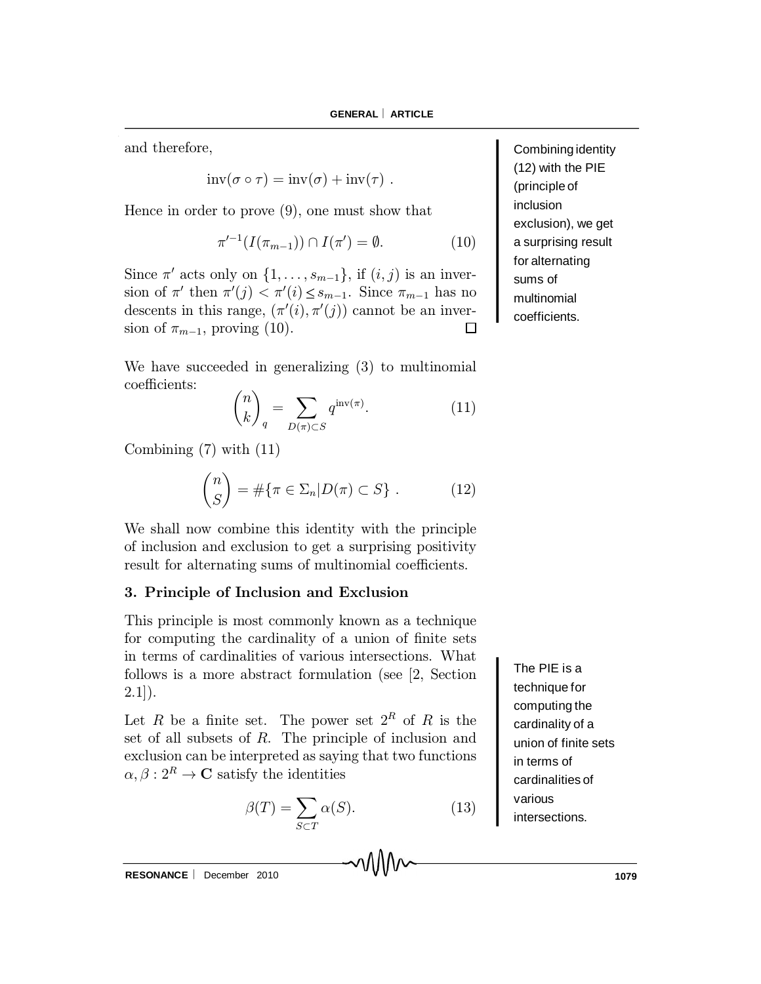and therefore,

$$
inv(\sigma \circ \tau) = inv(\sigma) + inv(\tau) .
$$

Hence in order to prove (9), one must show that

$$
\pi'^{-1}(I(\pi_{m-1})) \cap I(\pi') = \emptyset.
$$
 (10)

Since  $\pi'$  acts only on  $\{1, \ldots, s_{m-1}\}\$ , if  $(i, j)$  is an inversion of  $\pi'$  then  $\pi'(j) < \pi'(i) \leq s_{m-1}$ . Since  $\pi_{m-1}$  has no descents in this range,  $(\pi'(i), \pi'(j))$  cannot be an inversion of  $\pi_{m-1}$ , proving (10).  $\Box$ 

We have succeeded in generalizing (3) to multinomial coefficients:

$$
\binom{n}{k}_q = \sum_{D(\pi) \subset S} q^{\operatorname{inv}(\pi)}.
$$
 (11)

Combining (7) with (11)

$$
\binom{n}{S} = \#\{\pi \in \Sigma_n | D(\pi) \subset S\} . \tag{12}
$$

We shall now combine this identity with the principle of inclusion and exclusion to get a surprising positivity result for alternating sums of multinomial coefficients.

## 3. Principle of Inclusion and Exclusion

This principle is most commonly known as a technique for computing the cardinality of a union of finite sets in terms of cardinalities of various intersections. What follows is a more abstract formulation (see [2, Section  $2.1$ ].

Let R be a finite set. The power set  $2^R$  of R is the set of all subsets of  $R$ . The principle of inclusion and exclusion can be interpreted as saying that two functions  $\alpha, \beta : 2^R \to \mathbf{C}$  satisfy the identities

$$
\beta(T) = \sum_{S \subset T} \alpha(S). \tag{13}
$$

The PIE is a technique for computing the cardinality of a union of finite sets in terms of cardinalities of various intersections.

(principle of inclusion exclusion), we get a surprising result for alternating sums of multinomial coefficients.

Combining identity (12) with the PIE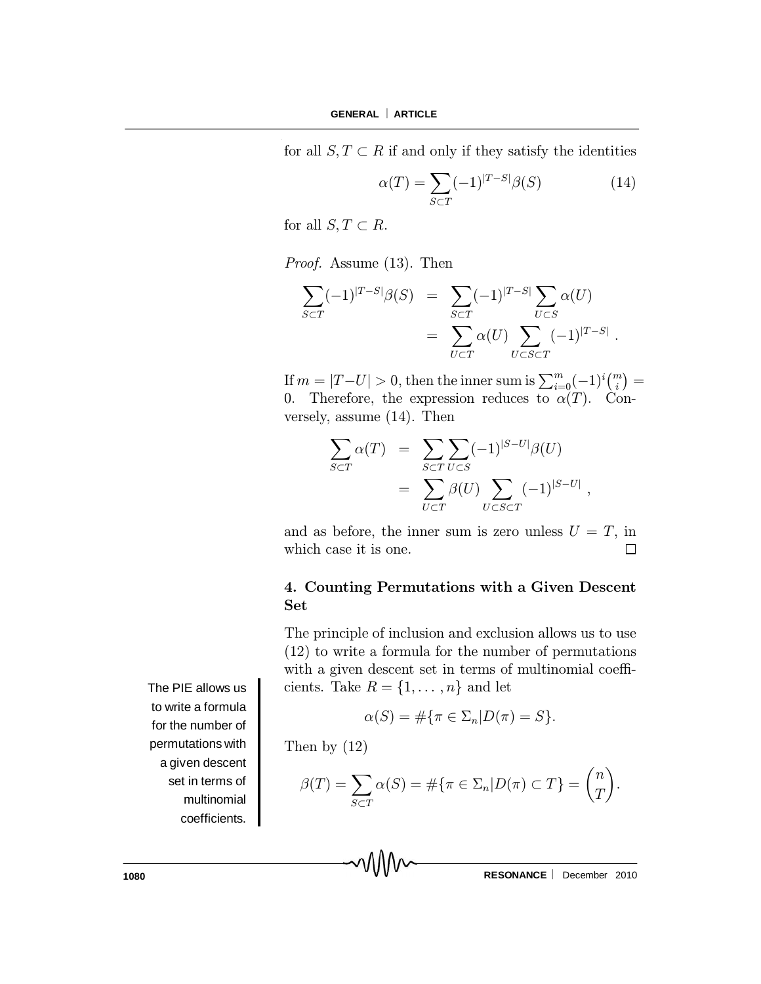for all  $S, T \subset R$  if and only if they satisfy the identities

$$
\alpha(T) = \sum_{S \subset T} (-1)^{|T-S|} \beta(S) \tag{14}
$$

for all  $S, T \subset R$ .

Proof. Assume (13). Then

$$
\sum_{S \subset T} (-1)^{|T-S|} \beta(S) = \sum_{S \subset T} (-1)^{|T-S|} \sum_{U \subset S} \alpha(U)
$$
  
= 
$$
\sum_{U \subset T} \alpha(U) \sum_{U \subset S \subset T} (-1)^{|T-S|}.
$$

If  $m = |T-U| > 0$ , then the inner sum is  $\sum_{i=0}^{m} (-1)^i {m \choose i} =$ 0. Therefore, the expression reduces to  $\alpha(T)$ . Conversely, assume (14). Then

$$
\sum_{S \subset T} \alpha(T) = \sum_{S \subset T} \sum_{U \subset S} (-1)^{|S-U|} \beta(U)
$$

$$
= \sum_{U \subset T} \beta(U) \sum_{U \subset S \subset T} (-1)^{|S-U|}
$$

and as before, the inner sum is zero unless  $U = T$ , in which case it is one.  $\Box$ 

# 4. Counting Permutations with a Given Descent Set

The principle of inclusion and exclusion allows us to use (12) to write a formula for the number of permutations with a given descent set in terms of multinomial coefficients. Take  $R = \{1, \ldots, n\}$  and let

$$
\alpha(S) = \#\{\pi \in \Sigma_n | D(\pi) = S\}.
$$

Then by (12)

$$
\beta(T) = \sum_{S \subset T} \alpha(S) = \# \{ \pi \in \Sigma_n | D(\pi) \subset T \} = \binom{n}{T}.
$$

The PIE allows us to write a formula for the number of permutations with a given descent set in terms of multinomial coefficients.

**1080 RESONANCE** | December 2010

;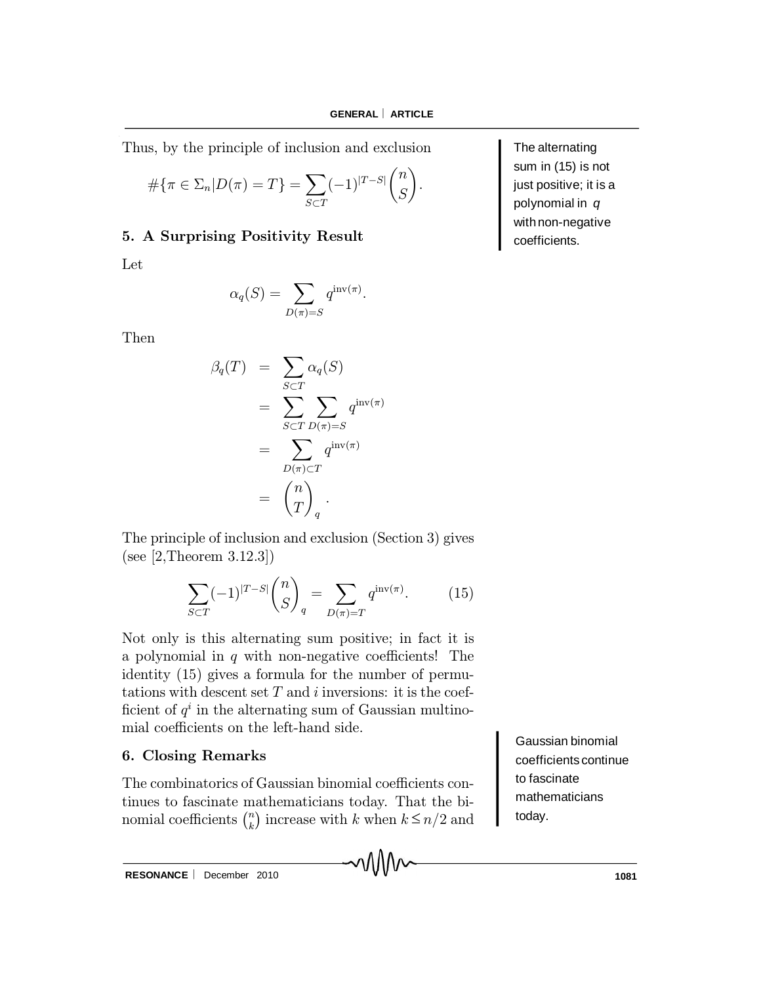Thus, by the principle of inclusion and exclusion

$$
\#\{\pi \in \Sigma_n | D(\pi) = T\} = \sum_{S \subset T} (-1)^{|T-S|} \binom{n}{S}.
$$

# 5. A Surprising Positivity Result

Let

$$
\alpha_q(S) = \sum_{D(\pi) = S} q^{\mathrm{inv}(\pi)}.
$$

Then

$$
\beta_q(T) = \sum_{S \subset T} \alpha_q(S)
$$
  
= 
$$
\sum_{S \subset T} \sum_{D(\pi) = S} q^{\text{inv}(\pi)}
$$
  
= 
$$
\sum_{D(\pi) \subset T} q^{\text{inv}(\pi)}
$$
  
= 
$$
\binom{n}{T}_q.
$$

The principle of inclusion and exclusion (Section 3) gives (see [2,Theorem 3.12.3])

$$
\sum_{S \subset T} (-1)^{|T-S|} \binom{n}{S}_q = \sum_{D(\pi) = T} q^{\text{inv}(\pi)}.
$$
 (15)

Not only is this alternating sum positive; in fact it is a polynomial in  $q$  with non-negative coefficients! The identity (15) gives a formula for the number of permutations with descent set  $T$  and  $i$  inversions: it is the coefficient of  $q^i$  in the alternating sum of Gaussian multinomial coefficients on the left-hand side.

# 6. Closing Remarks

nomial coefficients  $\binom{n}{k}$  increase with k when  $k \leq$ The combinatorics of Gaussian binomial coefficients continues to fascinate mathematicians today. That the bi- $\binom{n}{k}$  increase with k when  $k \leq n/2$  and Gaussian binomial coefficients continue to fascinate mathematicians today.

The alternating sum in (15) is not just positive; it is a polynomial in *q* with non-negative coefficients.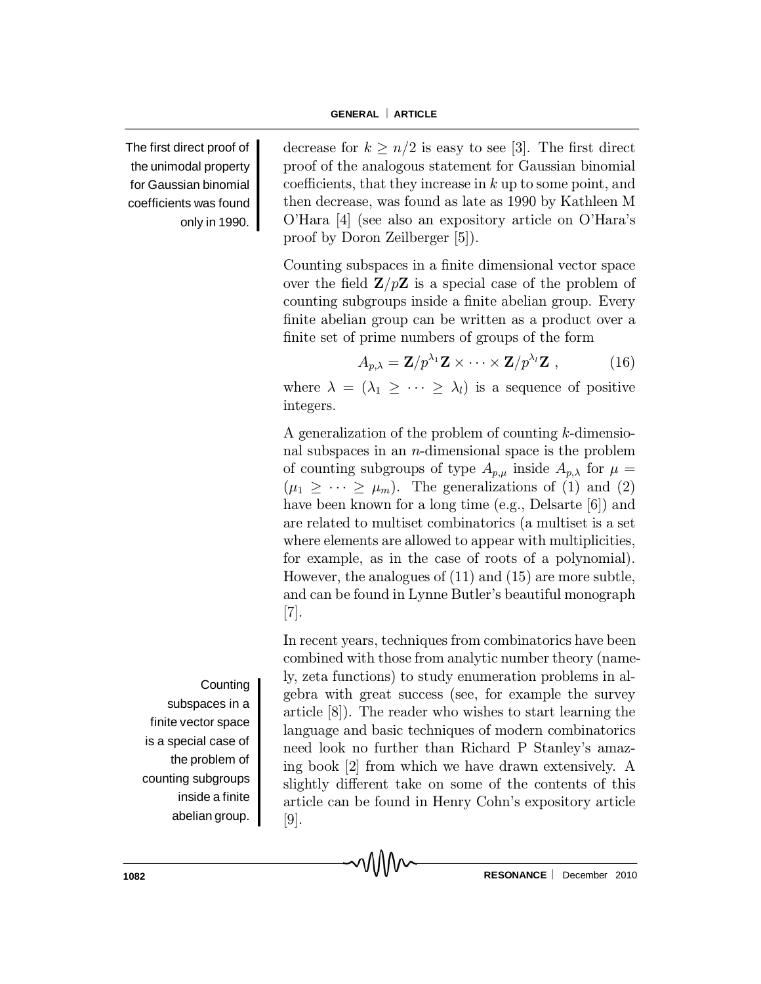proof by Doron Zeilberger [5]).

integers.

decrease for  $k \geq n/2$  is easy to see [3]. The first direct proof of the analogous statement for Gaussian binomial coefficients, that they increase in  $k$  up to some point, and then decrease, was found as late as 1990 by Kathleen M O'Hara [4] (see also an expository article on O'Hara's

Counting subspaces in a finite dimensional vector space over the field  $\mathbf{Z}/p\mathbf{Z}$  is a special case of the problem of counting subgroups inside a finite abelian group. Every finite abelian group can be written as a product over a

where  $\lambda = (\lambda_1 \geq \cdots \geq \lambda_l)$  is a sequence of positive

A generalization of the problem of counting k-dimensional subspaces in an  $n$ -dimensional space is the problem of counting subgroups of type  $A_{p,\mu}$  inside  $A_{p,\lambda}$  for  $\mu =$  $(\mu_1 \geq \cdots \geq \mu_m)$ . The generalizations of (1) and (2) have been known for a long time (e.g., Delsarte [6]) and are related to multiset combinatorics (a multiset is a set where elements are allowed to appear with multiplicities, for example, as in the case of roots of a polynomial). However, the analogues of (11) and (15) are more subtle, and can be found in Lynne Butler's beautiful monograph

 $A_{p,\lambda} = \mathbf{Z}/p^{\lambda_1}\mathbf{Z} \times \cdots \times \mathbf{Z}/p^{\lambda_l}\mathbf{Z}$ , (16)

finite set of prime numbers of groups of the form

The first direct proof of the unimodal property for Gaussian binomial coefficients was found only in 1990.

> [7]. In recent years, techniques from combinatorics have been combined with those from analytic number theory (namely, zeta functions) to study enumeration problems in algebra with great success (see, for example the survey article [8]). The reader who wishes to start learning the language and basic techniques of modern combinatorics need look no further than Richard P Stanley's amazing book [2] from which we have drawn extensively. A slightly different take on some of the contents of this article can be found in Henry Cohn's expository article [9].

> > MM

**Counting** subspaces in a finite vector space is a special case of the problem of counting subgroups inside a finite abelian group.